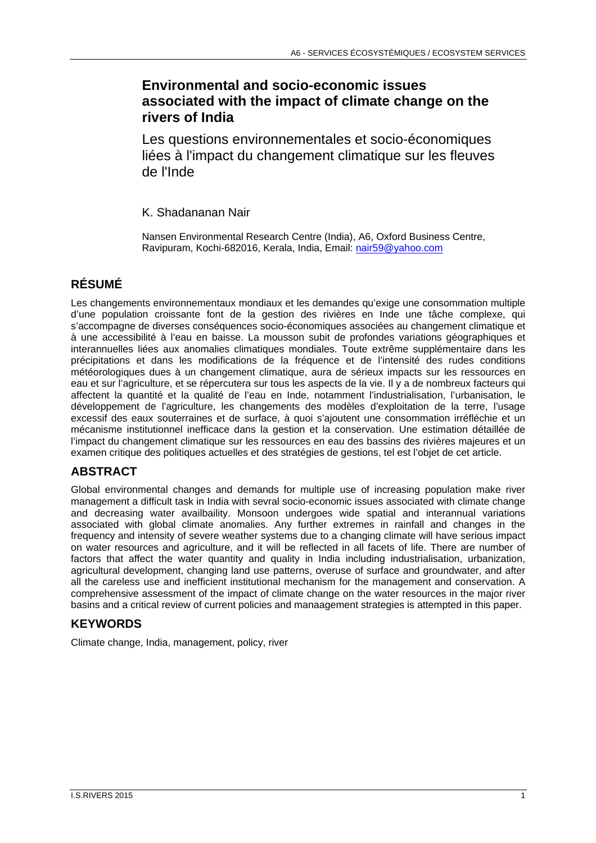## **Environmental and socio-economic issues associated with the impact of climate change on the rivers of India**

Les questions environnementales et socio-économiques liées à l'impact du changement climatique sur les fleuves de l'Inde

K. Shadananan Nair

Nansen Environmental Research Centre (India), A6, Oxford Business Centre, Ravipuram, Kochi-682016, Kerala, India, Email: nair59@yahoo.com

# **RÉSUMÉ**

Les changements environnementaux mondiaux et les demandes qu'exige une consommation multiple d'une population croissante font de la gestion des rivières en Inde une tâche complexe, qui s'accompagne de diverses conséquences socio-économiques associées au changement climatique et à une accessibilité à l'eau en baisse. La mousson subit de profondes variations géographiques et interannuelles liées aux anomalies climatiques mondiales. Toute extrême supplémentaire dans les précipitations et dans les modifications de la fréquence et de l'intensité des rudes conditions météorologiques dues à un changement climatique, aura de sérieux impacts sur les ressources en eau et sur l'agriculture, et se répercutera sur tous les aspects de la vie. Il y a de nombreux facteurs qui affectent la quantité et la qualité de l'eau en Inde, notamment l'industrialisation, l'urbanisation, le développement de l'agriculture, les changements des modèles d'exploitation de la terre, l'usage excessif des eaux souterraines et de surface, à quoi s'ajoutent une consommation irréfléchie et un mécanisme institutionnel inefficace dans la gestion et la conservation. Une estimation détaillée de l'impact du changement climatique sur les ressources en eau des bassins des rivières majeures et un examen critique des politiques actuelles et des stratégies de gestions, tel est l'objet de cet article.

## **ABSTRACT**

Global environmental changes and demands for multiple use of increasing population make river management a difficult task in India with sevral socio-economic issues associated with climate change and decreasing water availbaility. Monsoon undergoes wide spatial and interannual variations associated with global climate anomalies. Any further extremes in rainfall and changes in the frequency and intensity of severe weather systems due to a changing climate will have serious impact on water resources and agriculture, and it will be reflected in all facets of life. There are number of factors that affect the water quantity and quality in India including industrialisation, urbanization, agricultural development, changing land use patterns, overuse of surface and groundwater, and after all the careless use and inefficient institutional mechanism for the management and conservation. A comprehensive assessment of the impact of climate change on the water resources in the major river basins and a critical review of current policies and manaagement strategies is attempted in this paper.

## **KEYWORDS**

Climate change, India, management, policy, river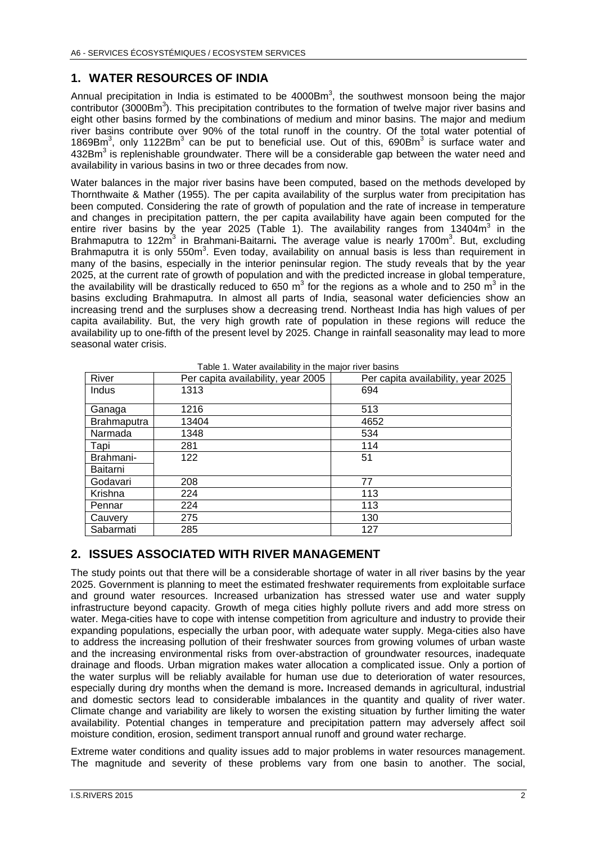### **1. WATER RESOURCES OF INDIA**

Annual precipitation in India is estimated to be  $4000Bm<sup>3</sup>$ , the southwest monsoon being the major contributor (3000Bm<sup>3</sup>). This precipitation contributes to the formation of twelve major river basins and eight other basins formed by the combinations of medium and minor basins. The major and medium river basins contribute over 90% of the total runoff in the country. Of the total water potential of 1869Bm<sup>3</sup>, only 1122Bm<sup>3</sup> can be put to beneficial use. Out of this, 690Bm<sup>3</sup> is surface water and 432Bm<sup>3</sup> is replenishable groundwater. There will be a considerable gap between the water need and availability in various basins in two or three decades from now.

Water balances in the major river basins have been computed, based on the methods developed by Thornthwaite & Mather (1955). The per capita availability of the surplus water from precipitation has been computed. Considering the rate of growth of population and the rate of increase in temperature and changes in precipitation pattern, the per capita availability have again been computed for the entire river basins by the year 2025 (Table 1). The availability ranges from 13404 $m^3$  in the Brahmaputra to 122m<sup>3</sup> in Brahmani-Baitarni. The average value is nearly 1700m<sup>3</sup>. But, excluding Brahmaputra it is only 550m<sup>3</sup>. Even today, availability on annual basis is less than requirement in many of the basins, especially in the interior peninsular region. The study reveals that by the year 2025, at the current rate of growth of population and with the predicted increase in global temperature, the availability will be drastically reduced to 650 m<sup>3</sup> for the regions as a whole and to 250 m<sup>3</sup> in the basins excluding Brahmaputra. In almost all parts of India, seasonal water deficiencies show an increasing trend and the surpluses show a decreasing trend. Northeast India has high values of per capita availability. But, the very high growth rate of population in these regions will reduce the availability up to one-fifth of the present level by 2025. Change in rainfall seasonality may lead to more seasonal water crisis.

| rable T. Water availability in the major liver basins |                                    |                                    |
|-------------------------------------------------------|------------------------------------|------------------------------------|
| River                                                 | Per capita availability, year 2005 | Per capita availability, year 2025 |
| Indus                                                 | 1313                               | 694                                |
| Ganaga                                                | 1216                               | 513                                |
| <b>Brahmaputra</b>                                    | 13404                              | 4652                               |
| Narmada                                               | 1348                               | 534                                |
| Tapi                                                  | 281                                | 114                                |
| Brahmani-                                             | 122                                | 51                                 |
| Baitarni                                              |                                    |                                    |
| Godavari                                              | 208                                | 77                                 |
| Krishna                                               | 224                                | 113                                |
| Pennar                                                | 224                                | 113                                |
| Cauvery                                               | 275                                | 130                                |
| Sabarmati                                             | 285                                | 127                                |

Table 1. Water availability in the major river basins

#### **2. ISSUES ASSOCIATED WITH RIVER MANAGEMENT**

The study points out that there will be a considerable shortage of water in all river basins by the year 2025. Government is planning to meet the estimated freshwater requirements from exploitable surface and ground water resources. Increased urbanization has stressed water use and water supply infrastructure beyond capacity. Growth of mega cities highly pollute rivers and add more stress on water. Mega-cities have to cope with intense competition from agriculture and industry to provide their expanding populations, especially the urban poor, with adequate water supply. Mega-cities also have to address the increasing pollution of their freshwater sources from growing volumes of urban waste and the increasing environmental risks from over-abstraction of groundwater resources, inadequate drainage and floods. Urban migration makes water allocation a complicated issue. Only a portion of the water surplus will be reliably available for human use due to deterioration of water resources, especially during dry months when the demand is more**.** Increased demands in agricultural, industrial and domestic sectors lead to considerable imbalances in the quantity and quality of river water. Climate change and variability are likely to worsen the existing situation by further limiting the water availability. Potential changes in temperature and precipitation pattern may adversely affect soil moisture condition, erosion, sediment transport annual runoff and ground water recharge.

Extreme water conditions and quality issues add to major problems in water resources management. The magnitude and severity of these problems vary from one basin to another. The social,